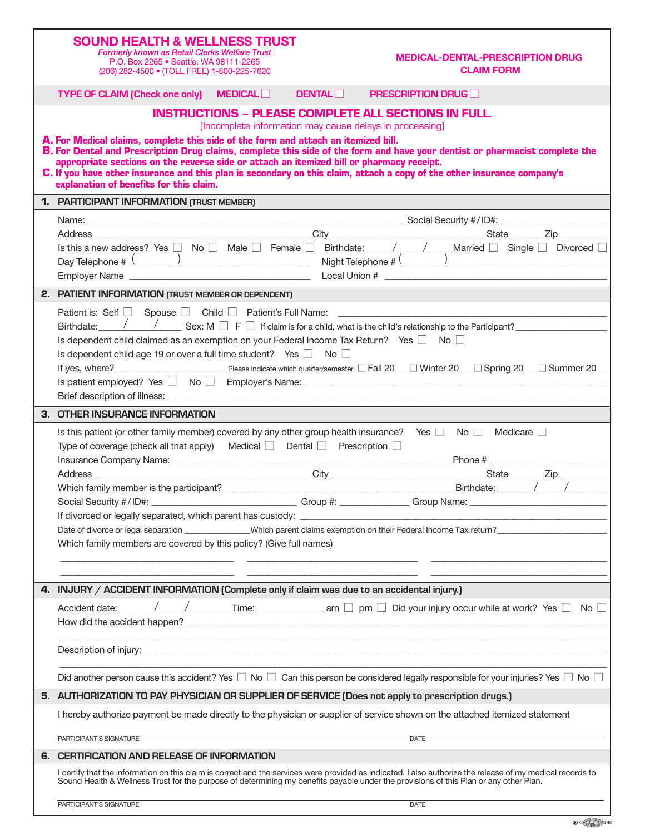| <b>SOUND HEALTH &amp; WELLNESS TRUST</b><br><b>Formerly known as Retail Clerks Welfare Trust</b><br>P.O. Box 2265 • Seattle, WA 98111-2265<br>(206) 282-4500 • (TOLL FREE) 1-800-225-7620                                                                                                                                                                                                     |               | <b>MEDICAL-DENTAL-PRESCRIPTION DRUG</b><br><b>CLAIM FORM</b> |  |  |  |  |  |  |  |  |
|-----------------------------------------------------------------------------------------------------------------------------------------------------------------------------------------------------------------------------------------------------------------------------------------------------------------------------------------------------------------------------------------------|---------------|--------------------------------------------------------------|--|--|--|--|--|--|--|--|
| <b>TYPE OF CLAIM (Check one only) MEDICAL</b>                                                                                                                                                                                                                                                                                                                                                 | <b>DENTAL</b> | <b>PRESCRIPTION DRUG</b>                                     |  |  |  |  |  |  |  |  |
| <b>INSTRUCTIONS - PLEASE COMPLETE ALL SECTIONS IN FULL.</b><br>(Incomplete information may cause delays in processing)<br>A. For Medical claims, complete this side of the form and attach an itemized bill.                                                                                                                                                                                  |               |                                                              |  |  |  |  |  |  |  |  |
| B. For Dental and Prescription Drug claims, complete this side of the form and have your dentist or pharmacist complete the<br>appropriate sections on the reverse side or attach an itemized bill or pharmacy receipt.<br>C. If you have other insurance and this plan is secondary on this claim, attach a copy of the other insurance company's<br>explanation of benefits for this claim. |               |                                                              |  |  |  |  |  |  |  |  |
| 1. PARTICIPANT INFORMATION (TRUST MEMBER)                                                                                                                                                                                                                                                                                                                                                     |               |                                                              |  |  |  |  |  |  |  |  |
|                                                                                                                                                                                                                                                                                                                                                                                               |               |                                                              |  |  |  |  |  |  |  |  |
|                                                                                                                                                                                                                                                                                                                                                                                               |               |                                                              |  |  |  |  |  |  |  |  |
|                                                                                                                                                                                                                                                                                                                                                                                               |               |                                                              |  |  |  |  |  |  |  |  |
| Day Telephone $\#\left(\begin{array}{c} \dots \end{array}\right)$                                                                                                                                                                                                                                                                                                                             |               |                                                              |  |  |  |  |  |  |  |  |
|                                                                                                                                                                                                                                                                                                                                                                                               |               |                                                              |  |  |  |  |  |  |  |  |
| 2. PATIENT INFORMATION (TRUST MEMBER OR DEPENDENT)                                                                                                                                                                                                                                                                                                                                            |               |                                                              |  |  |  |  |  |  |  |  |
| Birthdate: $\sqrt{2\pi}$ Sex: M $\Box$ F $\Box$ If claim is for a child, what is the child's relationship to the Participant?                                                                                                                                                                                                                                                                 |               |                                                              |  |  |  |  |  |  |  |  |
|                                                                                                                                                                                                                                                                                                                                                                                               |               |                                                              |  |  |  |  |  |  |  |  |
| Is dependent child claimed as an exemption on your Federal Income Tax Return? Yes $\Box$ No $\Box$<br>Is dependent child age 19 or over a full time student? Yes $\Box$ No $\Box$                                                                                                                                                                                                             |               |                                                              |  |  |  |  |  |  |  |  |
|                                                                                                                                                                                                                                                                                                                                                                                               |               |                                                              |  |  |  |  |  |  |  |  |
|                                                                                                                                                                                                                                                                                                                                                                                               |               |                                                              |  |  |  |  |  |  |  |  |
|                                                                                                                                                                                                                                                                                                                                                                                               |               |                                                              |  |  |  |  |  |  |  |  |
| 3. OTHER INSURANCE INFORMATION                                                                                                                                                                                                                                                                                                                                                                |               |                                                              |  |  |  |  |  |  |  |  |
| Is this patient (or other family member) covered by any other group health insurance? Yes $\Box$ No $\Box$ Medicare $\Box$                                                                                                                                                                                                                                                                    |               |                                                              |  |  |  |  |  |  |  |  |
| Type of coverage (check all that apply) Medical $\Box$ Dental $\Box$ Prescription $\Box$                                                                                                                                                                                                                                                                                                      |               |                                                              |  |  |  |  |  |  |  |  |
|                                                                                                                                                                                                                                                                                                                                                                                               |               |                                                              |  |  |  |  |  |  |  |  |
|                                                                                                                                                                                                                                                                                                                                                                                               |               |                                                              |  |  |  |  |  |  |  |  |
| Social Security #/ID#:                                                                                                                                                                                                                                                                                                                                                                        | Group #:      | <b>Example 13 Group Name:</b>                                |  |  |  |  |  |  |  |  |
|                                                                                                                                                                                                                                                                                                                                                                                               |               |                                                              |  |  |  |  |  |  |  |  |
|                                                                                                                                                                                                                                                                                                                                                                                               |               |                                                              |  |  |  |  |  |  |  |  |
| Which family members are covered by this policy? (Give full names)                                                                                                                                                                                                                                                                                                                            |               |                                                              |  |  |  |  |  |  |  |  |
|                                                                                                                                                                                                                                                                                                                                                                                               |               |                                                              |  |  |  |  |  |  |  |  |
|                                                                                                                                                                                                                                                                                                                                                                                               |               |                                                              |  |  |  |  |  |  |  |  |
| 4. INJURY / ACCIDENT INFORMATION (Complete only if claim was due to an accidental injury.)                                                                                                                                                                                                                                                                                                    |               |                                                              |  |  |  |  |  |  |  |  |
|                                                                                                                                                                                                                                                                                                                                                                                               |               |                                                              |  |  |  |  |  |  |  |  |
|                                                                                                                                                                                                                                                                                                                                                                                               |               |                                                              |  |  |  |  |  |  |  |  |
|                                                                                                                                                                                                                                                                                                                                                                                               |               |                                                              |  |  |  |  |  |  |  |  |
|                                                                                                                                                                                                                                                                                                                                                                                               |               |                                                              |  |  |  |  |  |  |  |  |
| Did another person cause this accident? Yes $\Box$ No $\Box$ Can this person be considered legally responsible for your injuries? Yes $\Box$ No $\Box$                                                                                                                                                                                                                                        |               |                                                              |  |  |  |  |  |  |  |  |
| 5. AUTHORIZATION TO PAY PHYSICIAN OR SUPPLIER OF SERVICE (Does not apply to prescription drugs.)                                                                                                                                                                                                                                                                                              |               |                                                              |  |  |  |  |  |  |  |  |
| I hereby authorize payment be made directly to the physician or supplier of service shown on the attached itemized statement                                                                                                                                                                                                                                                                  |               |                                                              |  |  |  |  |  |  |  |  |
| PARTICIPANT'S SIGNATURE                                                                                                                                                                                                                                                                                                                                                                       |               | <b>DATE</b>                                                  |  |  |  |  |  |  |  |  |
| 6. CERTIFICATION AND RELEASE OF INFORMATION                                                                                                                                                                                                                                                                                                                                                   |               |                                                              |  |  |  |  |  |  |  |  |
| I certify that the information on this claim is correct and the services were provided as indicated. I also authorize the release of my medical records to<br>Sound Health & Wellness Trust for the purpose of determining my benefits payable under the provisions of this Plan or any other Plan.                                                                                           |               |                                                              |  |  |  |  |  |  |  |  |

 $\overline{\mathbb{R}}$   $\oplus$   $\overline{\oplus}$   $\overline{\oplus}$   $\overline{\oplus}$